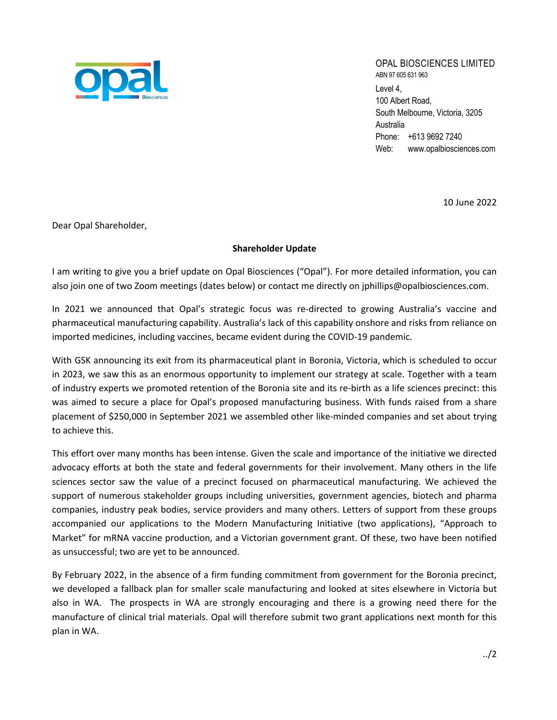

## OPAL BIOSCIENCES LIMITED ABN 97 605 631 963

Level 4, 100 Albert Road, South Melbourne, Victoria, 3205 Australia Phone: +613 9692 7240 Web: www.opalbiosciences.com

10 June 2022

Dear Opal Shareholder,

## **Shareholder Update**

I am writing to give you a brief update on Opal Biosciences ("Opal"). For more detailed information, you can also join one of two Zoom meetings (dates below) or contact me directly on jphillips@opalbiosciences.com.

In 2021 we announced that Opal's strategic focus was re-directed to growing Australia's vaccine and pharmaceutical manufacturing capability. Australia's lack of this capability onshore and risks from reliance on imported medicines, including vaccines, became evident during the COVID-19 pandemic.

With GSK announcing its exit from its pharmaceutical plant in Boronia, Victoria, which is scheduled to occur in 2023, we saw this as an enormous opportunity to implement our strategy at scale. Together with a team of industry experts we promoted retention of the Boronia site and its re-birth as a life sciences precinct: this was aimed to secure a place for Opal's proposed manufacturing business. With funds raised from a share placement of \$250,000 in September 2021 we assembled other like-minded companies and set about trying to achieve this.

This effort over many months has been intense. Given the scale and importance of the initiative we directed advocacy efforts at both the state and federal governments for their involvement. Many others in the life sciences sector saw the value of a precinct focused on pharmaceutical manufacturing. We achieved the support of numerous stakeholder groups including universities, government agencies, biotech and pharma companies, industry peak bodies, service providers and many others. Letters of support from these groups accompanied our applications to the Modern Manufacturing Initiative (two applications), "Approach to Market" for mRNA vaccine production, and a Victorian government grant. Of these, two have been notified as unsuccessful; two are yet to be announced.

By February 2022, in the absence of a firm funding commitment from government for the Boronia precinct, we developed a fallback plan for smaller scale manufacturing and looked at sites elsewhere in Victoria but also in WA. The prospects in WA are strongly encouraging and there is a growing need there for the manufacture of clinical trial materials. Opal will therefore submit two grant applications next month for this plan in WA.